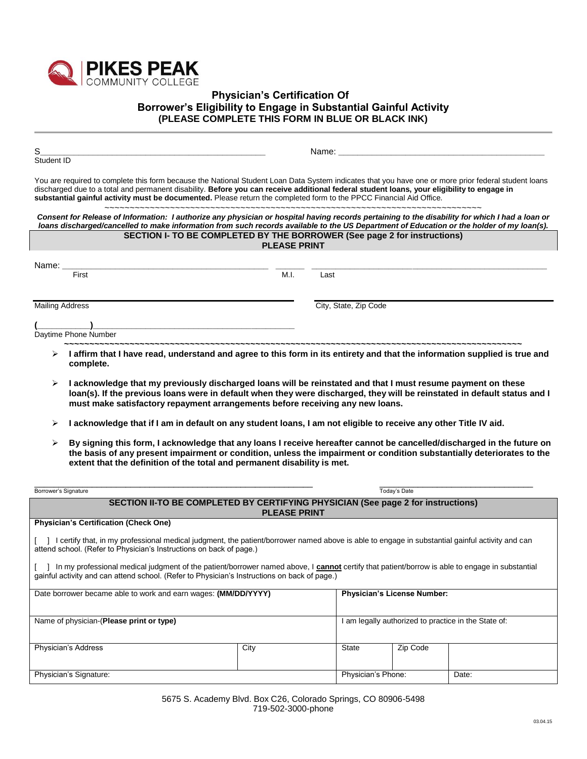

## **Physician's Certification Of Borrower's Eligibility to Engage in Substantial Gainful Activity (PLEASE COMPLETE THIS FORM IN BLUE OR BLACK INK)**

| Student ID                                                                                                                                                                                                                                                                                                                                                                                                                |                     | Name: Name: All and the state of the state of the state of the state of the state of the state of the state of the state of the state of the state of the state of the state of the state of the state of the state of the sta |                             |                                                      |
|---------------------------------------------------------------------------------------------------------------------------------------------------------------------------------------------------------------------------------------------------------------------------------------------------------------------------------------------------------------------------------------------------------------------------|---------------------|--------------------------------------------------------------------------------------------------------------------------------------------------------------------------------------------------------------------------------|-----------------------------|------------------------------------------------------|
| You are required to complete this form because the National Student Loan Data System indicates that you have one or more prior federal student loans<br>discharged due to a total and permanent disability. Before you can receive additional federal student loans, your eligibility to engage in<br>substantial gainful activity must be documented. Please return the completed form to the PPCC Financial Aid Office. |                     |                                                                                                                                                                                                                                |                             |                                                      |
| Consent for Release of Information: I authorize any physician or hospital having records pertaining to the disability for which I had a loan or<br>loans discharged/cancelled to make information from such records available to the US Department of Education or the holder of my loan(s).                                                                                                                              |                     |                                                                                                                                                                                                                                |                             |                                                      |
| SECTION I- TO BE COMPLETED BY THE BORROWER (See page 2 for instructions)                                                                                                                                                                                                                                                                                                                                                  | <b>PLEASE PRINT</b> |                                                                                                                                                                                                                                |                             |                                                      |
| First                                                                                                                                                                                                                                                                                                                                                                                                                     | M.I.                | Last                                                                                                                                                                                                                           |                             |                                                      |
| <b>Mailing Address</b>                                                                                                                                                                                                                                                                                                                                                                                                    |                     | City, State, Zip Code                                                                                                                                                                                                          |                             |                                                      |
| <u> 1989 - Jacques Barbara, poeta especial e a contra establecer a la contrada de la contrada de la contrada de</u><br>Daytime Phone Number                                                                                                                                                                                                                                                                               |                     |                                                                                                                                                                                                                                |                             |                                                      |
| $\triangleright$ I affirm that I have read, understand and agree to this form in its entirety and that the information supplied is true and<br>complete.                                                                                                                                                                                                                                                                  |                     |                                                                                                                                                                                                                                |                             |                                                      |
| ⋗<br>I acknowledge that my previously discharged loans will be reinstated and that I must resume payment on these<br>loan(s). If the previous loans were in default when they were discharged, they will be reinstated in default status and I<br>must make satisfactory repayment arrangements before receiving any new loans.                                                                                           |                     |                                                                                                                                                                                                                                |                             |                                                      |
| I acknowledge that if I am in default on any student loans, I am not eligible to receive any other Title IV aid.<br>➤                                                                                                                                                                                                                                                                                                     |                     |                                                                                                                                                                                                                                |                             |                                                      |
| By signing this form, I acknowledge that any loans I receive hereafter cannot be cancelled/discharged in the future on<br>➤<br>the basis of any present impairment or condition, unless the impairment or condition substantially deteriorates to the<br>extent that the definition of the total and permanent disability is met.                                                                                         |                     |                                                                                                                                                                                                                                |                             |                                                      |
| Borrower's Signature                                                                                                                                                                                                                                                                                                                                                                                                      |                     |                                                                                                                                                                                                                                | Today's Date                |                                                      |
| SECTION II-TO BE COMPLETED BY CERTIFYING PHYSICIAN (See page 2 for instructions)<br><u> 1990 - Jan Jawa Barat, prima provincia prima prima prima prima prima prima prima prima prima prima prima pri</u>                                                                                                                                                                                                                  | <b>PLEASE PRINT</b> |                                                                                                                                                                                                                                |                             |                                                      |
| <b>Physician's Certification (Check One)</b>                                                                                                                                                                                                                                                                                                                                                                              |                     |                                                                                                                                                                                                                                |                             |                                                      |
| [ ] I certify that, in my professional medical judgment, the patient/borrower named above is able to engage in substantial gainful activity and can<br>attend school. (Refer to Physician's Instructions on back of page.)                                                                                                                                                                                                |                     |                                                                                                                                                                                                                                |                             |                                                      |
| [ ] In my professional medical judgment of the patient/borrower named above, I cannot certify that patient/borrow is able to engage in substantial<br>gainful activity and can attend school. (Refer to Physician's Instructions on back of page.)                                                                                                                                                                        |                     |                                                                                                                                                                                                                                |                             |                                                      |
| Date borrower became able to work and earn wages: (MM/DD/YYYY)                                                                                                                                                                                                                                                                                                                                                            |                     |                                                                                                                                                                                                                                | Physician's License Number: |                                                      |
| Name of physician-(Please print or type)                                                                                                                                                                                                                                                                                                                                                                                  |                     |                                                                                                                                                                                                                                |                             | I am legally authorized to practice in the State of: |
| Physician's Address                                                                                                                                                                                                                                                                                                                                                                                                       | City                | State                                                                                                                                                                                                                          | Zip Code                    |                                                      |
| Physician's Signature:                                                                                                                                                                                                                                                                                                                                                                                                    |                     | Physician's Phone:                                                                                                                                                                                                             |                             | Date:                                                |